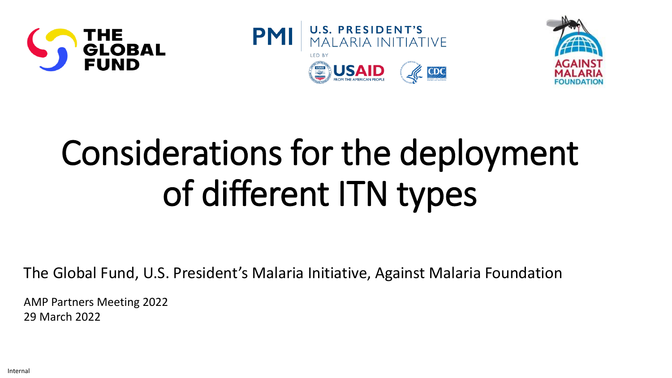





# Considerations for the deployment of different ITN types

The Global Fund, U.S. President's Malaria Initiative, Against Malaria Foundation

AMP Partners Meeting 2022 29 March 2022

Internal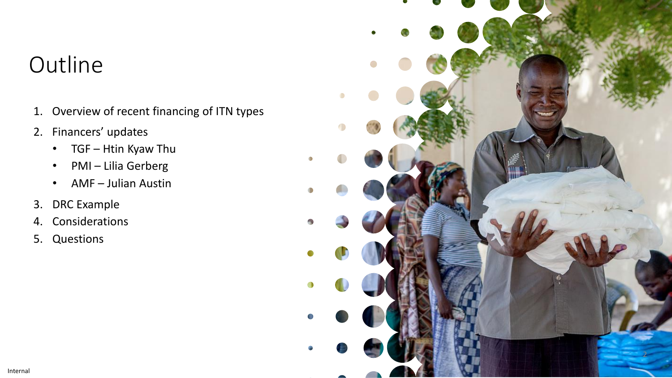### **Outline**

- 1. Overview of recent financing of ITN types
- 2. Financers' updates
	- TGF Htin Kyaw Thu
	- PMI Lilia Gerberg
	- AMF Julian Austin
- 3. DRC Example
- 4. Considerations
- 5. Questions

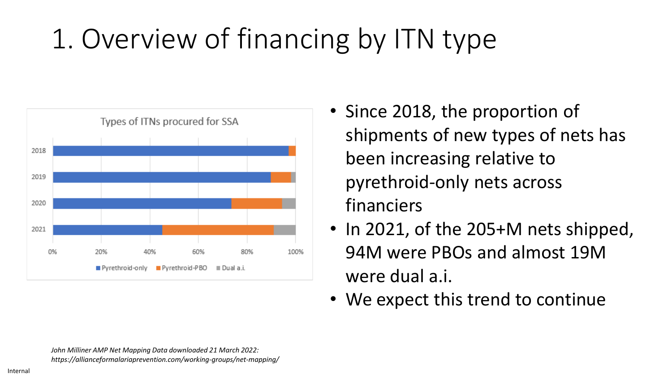## 1. Overview of financing by ITN type



- Since 2018, the proportion of shipments of new types of nets has been increasing relative to pyrethroid-only nets across financiers
- In 2021, of the 205+M nets shipped, 94M were PBOs and almost 19M were dual a.i.
- We expect this trend to continue

*John Milliner AMP Net Mapping Data downloaded 21 March 2022: https://allianceformalariaprevention.com/working-groups/net-mapping/*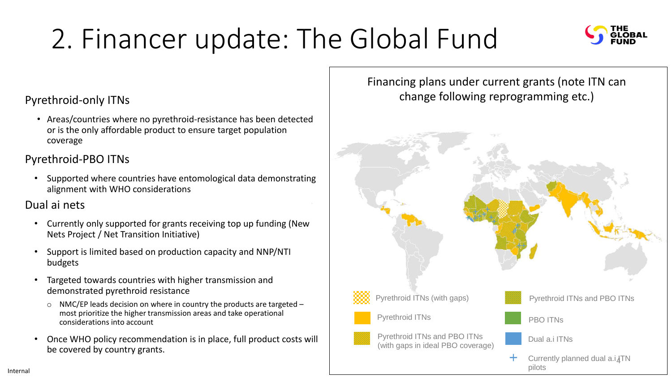## 2. Financer update: The Global Fund



#### Pyrethroid-only ITNs

• Areas/countries where no pyrethroid-resistance has been detected or is the only affordable product to ensure target population coverage

#### Pyrethroid-PBO ITNs

• Supported where countries have entomological data demonstrating alignment with WHO considerations

#### Dual ai nets

- Currently only supported for grants receiving top up funding (New Nets Project / Net Transition Initiative)
- Support is limited based on production capacity and NNP/NTI budgets
- Targeted towards countries with higher transmission and demonstrated pyrethroid resistance
	- o NMC/EP leads decision on where in country the products are targeted most prioritize the higher transmission areas and take operational considerations into account
- Once WHO policy recommendation is in place, full product costs will be covered by country grants.

#### Financing plans under current grants (note ITN can change following reprogramming etc.)

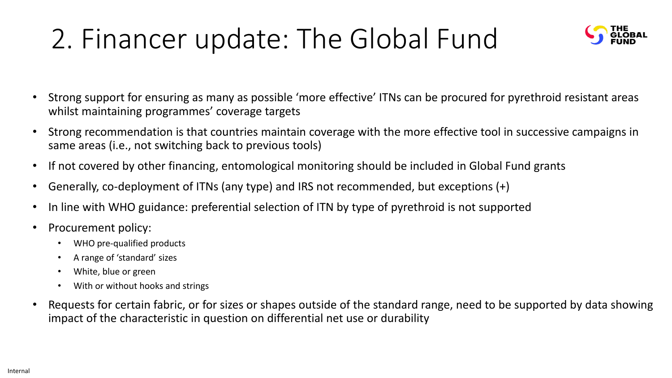### 2. Financer update: The Global Fund



- Strong support for ensuring as many as possible 'more effective' ITNs can be procured for pyrethroid resistant areas whilst maintaining programmes' coverage targets
- Strong recommendation is that countries maintain coverage with the more effective tool in successive campaigns in same areas (i.e., not switching back to previous tools)
- If not covered by other financing, entomological monitoring should be included in Global Fund grants
- Generally, co-deployment of ITNs (any type) and IRS not recommended, but exceptions (+)
- In line with WHO guidance: preferential selection of ITN by type of pyrethroid is not supported
- Procurement policy:
	- WHO pre-qualified products
	- A range of 'standard' sizes
	- White, blue or green
	- With or without hooks and strings
- Requests for certain fabric, or for sizes or shapes outside of the standard range, need to be supported by data showing impact of the characteristic in question on differential net use or durability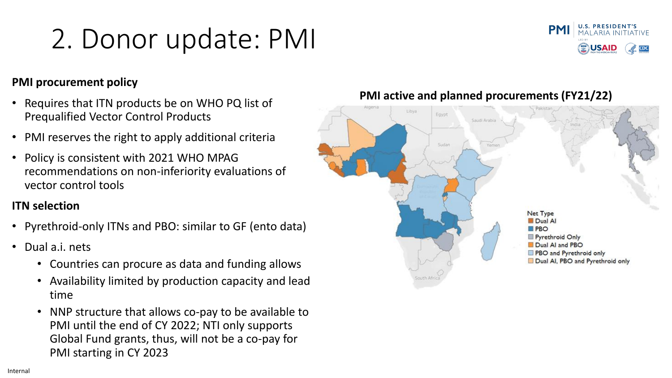### 2. Donor update: PMI



#### **PMI procurement policy**

- Requires that ITN products be on WHO PQ list of Prequalified Vector Control Products
- PMI reserves the right to apply additional criteria
- Policy is consistent with 2021 WHO MPAG recommendations on non-inferiority evaluations of vector control tools

#### **ITN selection**

- Pyrethroid-only ITNs and PBO: similar to GF (ento data)
- Dual a.i. nets
	- Countries can procure as data and funding allows
	- Availability limited by production capacity and lead time
	- NNP structure that allows co-pay to be available to PMI until the end of CY 2022; NTI only supports Global Fund grants, thus, will not be a co-pay for PMI starting in CY 2023



#### **PMI active and planned procurements (FY21/22)**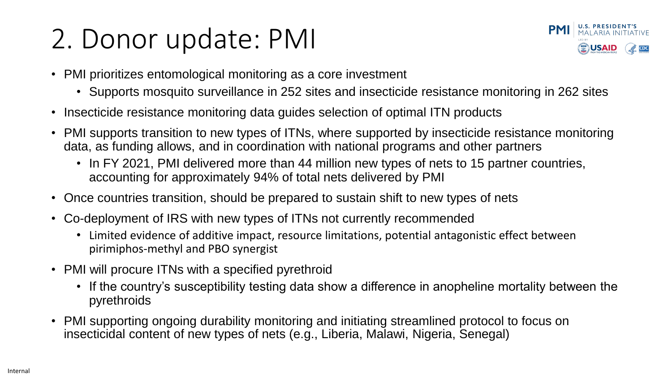### 2. Donor update: PMI



- PMI prioritizes entomological monitoring as a core investment
	- Supports mosquito surveillance in 252 sites and insecticide resistance monitoring in 262 sites
- Insecticide resistance monitoring data guides selection of optimal ITN products
- PMI supports transition to new types of ITNs, where supported by insecticide resistance monitoring data, as funding allows, and in coordination with national programs and other partners
	- In FY 2021, PMI delivered more than 44 million new types of nets to 15 partner countries, accounting for approximately 94% of total nets delivered by PMI
- Once countries transition, should be prepared to sustain shift to new types of nets
- Co-deployment of IRS with new types of ITNs not currently recommended
	- Limited evidence of additive impact, resource limitations, potential antagonistic effect between pirimiphos-methyl and PBO synergist
- PMI will procure ITNs with a specified pyrethroid
	- If the country's susceptibility testing data show a difference in anopheline mortality between the pyrethroids
- PMI supporting ongoing durability monitoring and initiating streamlined protocol to focus on insecticidal content of new types of nets (e.g., Liberia, Malawi, Nigeria, Senegal)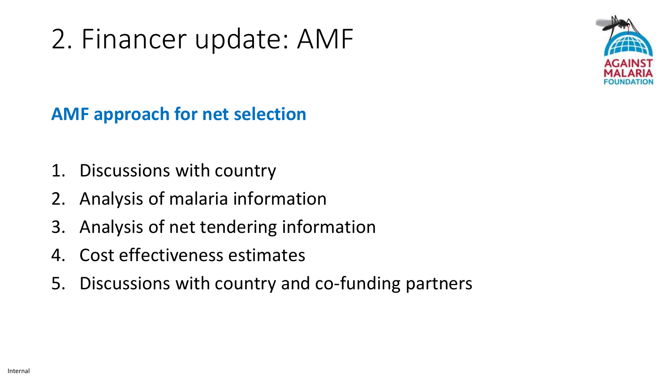### 2. Financer update: AMF



### **AMF approach for net selection**

- 1. Discussions with country
- 2. Analysis of malaria information
- 3. Analysis of net tendering information
- 4. Cost effectiveness estimates
- 5. Discussions with country and co-funding partners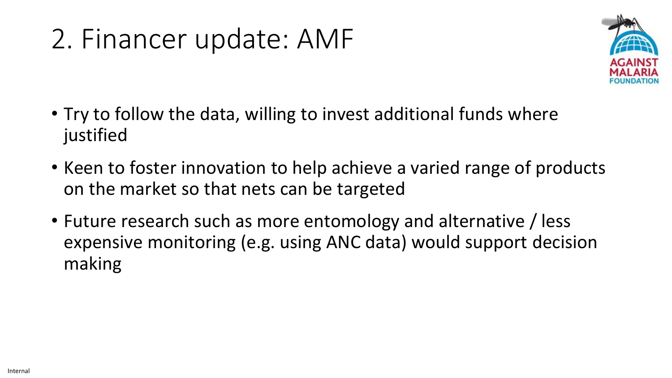### 2. Financer update: AMF



- Try to follow the data, willing to invest additional funds where justified
- Keen to foster innovation to help achieve a varied range of products on the market so that nets can be targeted
- Future research such as more entomology and alternative / less expensive monitoring (e.g. using ANC data) would support decision making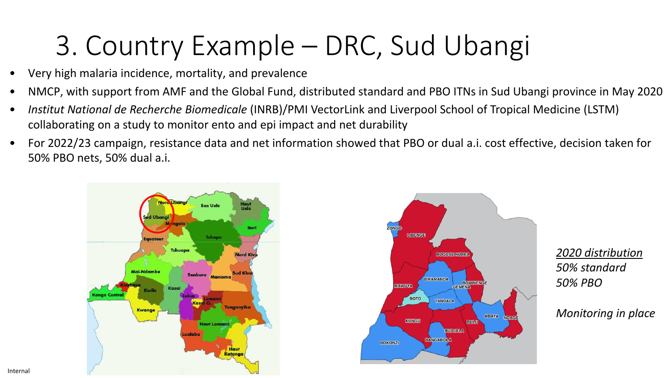### 3. Country Example – DRC, Sud Ubangi

- Very high malaria incidence, mortality, and prevalence
- NMCP, with support from AMF and the Global Fund, distributed standard and PBO ITNs in Sud Ubangi province in May 2020
- *Institut National de Recherche Biomedicale* (INRB)/PMI VectorLink and Liverpool School of Tropical Medicine (LSTM) collaborating on a study to monitor ento and epi impact and net durability
- For 2022/23 campaign, resistance data and net information showed that PBO or dual a.i. cost effective, decision taken for 50% PBO nets, 50% dual a.i.



*2020 distribution 50% standard 50% PBO*

*Monitoring in place*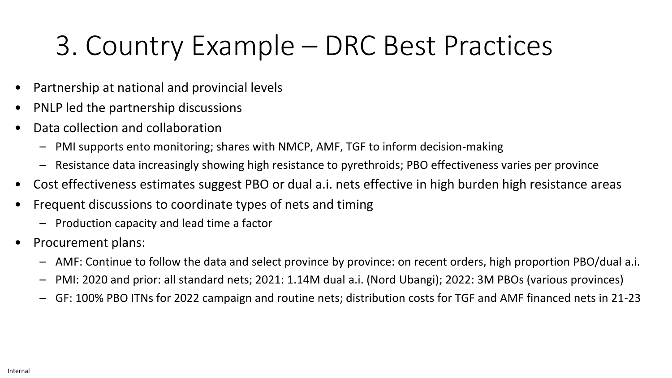### 3. Country Example – DRC Best Practices

- Partnership at national and provincial levels
- PNLP led the partnership discussions
- Data collection and collaboration
	- PMI supports ento monitoring; shares with NMCP, AMF, TGF to inform decision-making
	- Resistance data increasingly showing high resistance to pyrethroids; PBO effectiveness varies per province
- Cost effectiveness estimates suggest PBO or dual a.i. nets effective in high burden high resistance areas
- Frequent discussions to coordinate types of nets and timing
	- Production capacity and lead time a factor
- Procurement plans:
	- AMF: Continue to follow the data and select province by province: on recent orders, high proportion PBO/dual a.i.
	- PMI: 2020 and prior: all standard nets; 2021: 1.14M dual a.i. (Nord Ubangi); 2022: 3M PBOs (various provinces)
	- GF: 100% PBO ITNs for 2022 campaign and routine nets; distribution costs for TGF and AMF financed nets in 21-23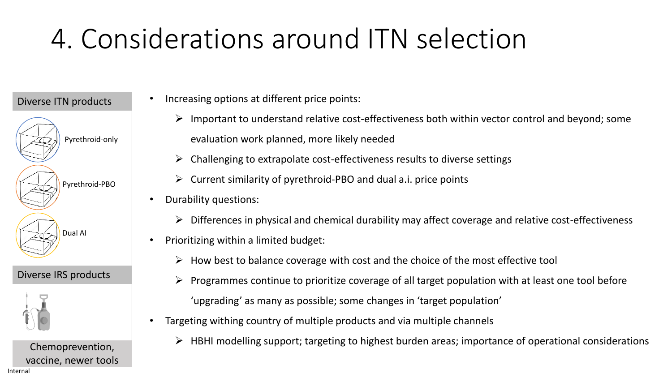### 4. Considerations around ITN selection

#### Diverse ITN products



#### Diverse IRS products

![](_page_11_Picture_4.jpeg)

Chemoprevention, vaccine, newer tools Increasing options at different price points:

- ➢ Important to understand relative cost-effectiveness both within vector control and beyond; some evaluation work planned, more likely needed
- ➢ Challenging to extrapolate cost-effectiveness results to diverse settings
- $\triangleright$  Current similarity of pyrethroid-PBO and dual a.i. price points
- Durability questions:
	- ➢ Differences in physical and chemical durability may affect coverage and relative cost-effectiveness
- Prioritizing within a limited budget:
	- $\triangleright$  How best to balance coverage with cost and the choice of the most effective tool
	- ➢ Programmes continue to prioritize coverage of all target population with at least one tool before 'upgrading' as many as possible; some changes in 'target population'
- Targeting withing country of multiple products and via multiple channels
	- $\triangleright$  HBHI modelling support; targeting to highest burden areas; importance of operational considerations